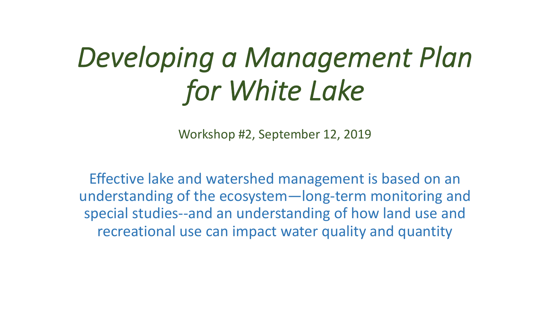# *Developing a Management Plan for White Lake*

Workshop #2, September 12, 2019

Effective lake and watershed management is based on an understanding of the ecosystem—long-term monitoring and special studies--and an understanding of how land use and recreational use can impact water quality and quantity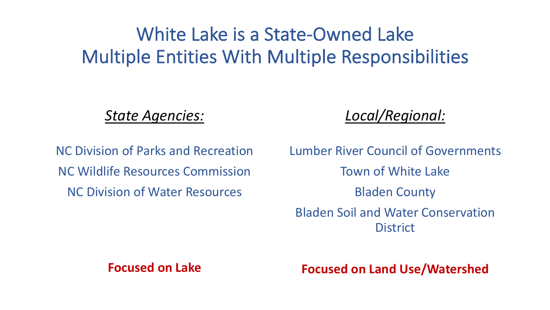### White Lake is a State-Owned Lake Multiple Entities With Multiple Responsibilities

*State Agencies:*

*Local/Regional:*

NC Division of Parks and Recreation NC Wildlife Resources Commission NC Division of Water Resources

Lumber River Council of Governments Town of White Lake Bladen County Bladen Soil and Water Conservation **District** 

#### **Focused on Lake**

**Focused on Land Use/Watershed**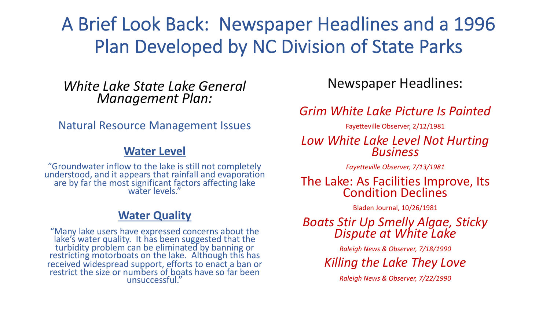#### A Brief Look Back: Newspaper Headlines and a 1996 Plan Developed by NC Division of State Parks

*White Lake State Lake General Management Plan:*

Natural Resource Management Issues

#### **Water Level**

"Groundwater inflow to the lake is still not completely understood, and it appears that rainfall and evaporation are by far the most significant factors affecting lake water levels."

#### **Water Quality**

"Many lake users have expressed concerns about the lake's water quality. It has been suggested that the turbidity problem can be eliminated by banning or restricting motorboats on the lake. Although this has received widespread support, efforts to enact a ban or restrict the size or numbers of boats have so far been unsuccessful."

Newspaper Headlines:

*Grim White Lake Picture Is Painted*

Fayetteville Observer, 2/12/1981

#### *Low White Lake Level Not Hurting Business*

*Fayetteville Observer, 7/13/1981*

## The Lake: As Facilities Improve, Its<br>Condition Declines

Bladen Journal, 10/26/1981

*Boats Stir Up Smelly Algae, Sticky Dispute at White Lake*

*Raleigh News & Observer, 7/18/1990*

*Killing the Lake They Love*

*Raleigh News & Observer, 7/22/1990*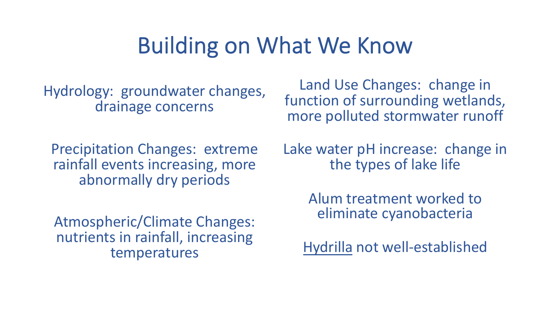### Building on What We Know

Hydrology: groundwater changes, drainage concerns

Precipitation Changes: extreme rainfall events increasing, more abnormally dry periods

Atmospheric/Climate Changes: nutrients in rainfall, increasing temperatures

Land Use Changes: change in function of surrounding wetlands, more polluted stormwater runoff

Lake water pH increase: change in the types of lake life

> Alum treatment worked to eliminate cyanobacteria

Hydrilla not well-established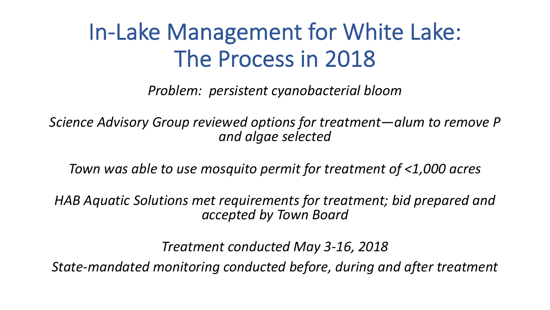## In-Lake Management for White Lake: The Process in 2018

*Problem: persistent cyanobacterial bloom*

*Science Advisory Group reviewed options for treatment—alum to remove P and algae selected*

*Town was able to use mosquito permit for treatment of <1,000 acres*

*HAB Aquatic Solutions met requirements for treatment; bid prepared and accepted by Town Board*

*Treatment conducted May 3-16, 2018*

*State-mandated monitoring conducted before, during and after treatment*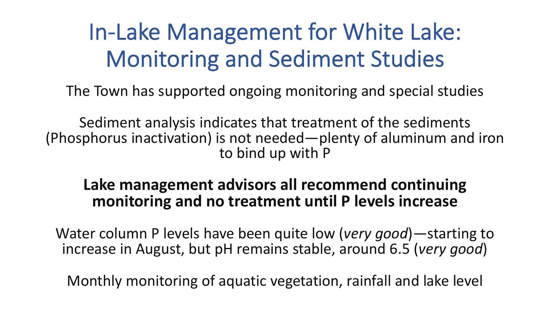# In-Lake Management for White Lake: Monitoring and Sediment Studies

The Town has supported ongoing monitoring and special studies

Sediment analysis indicates that treatment of the sediments (Phosphorus inactivation) is not needed—plenty of aluminum and iron to bind up with P

#### **Lake management advisors all recommend continuing monitoring and no treatment until P levels increase**

Water column P levels have been quite low (*very good*)—starting to increase in August, but pH remains stable, around 6.5 (*very good*)

Monthly monitoring of aquatic vegetation, rainfall and lake level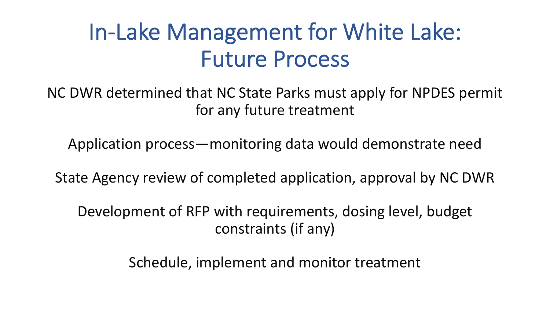## In-Lake Management for White Lake: Future Process

NC DWR determined that NC State Parks must apply for NPDES permit for any future treatment

Application process—monitoring data would demonstrate need

State Agency review of completed application, approval by NC DWR

Development of RFP with requirements, dosing level, budget constraints (if any)

Schedule, implement and monitor treatment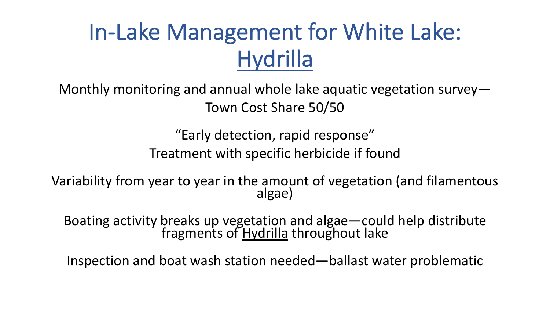# In-Lake Management for White Lake: **Hydrilla**

Monthly monitoring and annual whole lake aquatic vegetation survey— Town Cost Share 50/50

> "Early detection, rapid response" Treatment with specific herbicide if found

Variability from year to year in the amount of vegetation (and filamentous<br>algae)

Boating activity breaks up vegetation and algae—could help distribute fragments of Hydrilla throughout lake

Inspection and boat wash station needed—ballast water problematic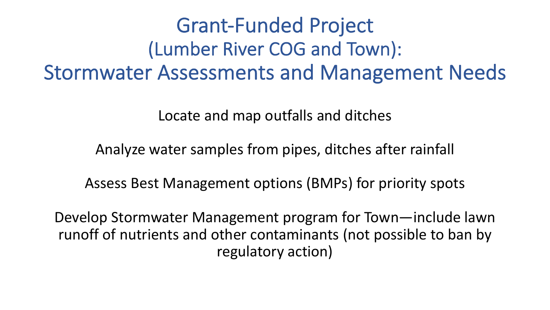### Grant-Funded Project (Lumber River COG and Town): Stormwater Assessments and Management Needs

Locate and map outfalls and ditches

Analyze water samples from pipes, ditches after rainfall

Assess Best Management options (BMPs) for priority spots

Develop Stormwater Management program for Town—include lawn runoff of nutrients and other contaminants (not possible to ban by regulatory action)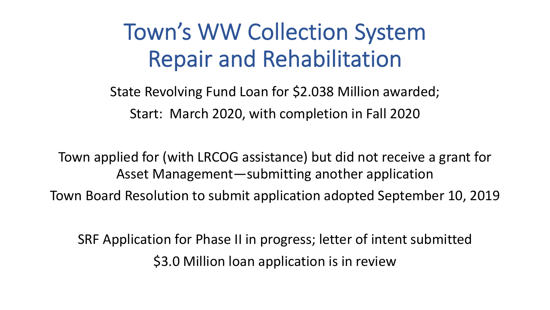## Town's WW Collection System Repair and Rehabilitation

State Revolving Fund Loan for \$2.038 Million awarded; Start: March 2020, with completion in Fall 2020

Town applied for (with LRCOG assistance) but did not receive a grant for Asset Management—submitting another application

Town Board Resolution to submit application adopted September 10, 2019

SRF Application for Phase II in progress; letter of intent submitted \$3.0 Million loan application is in review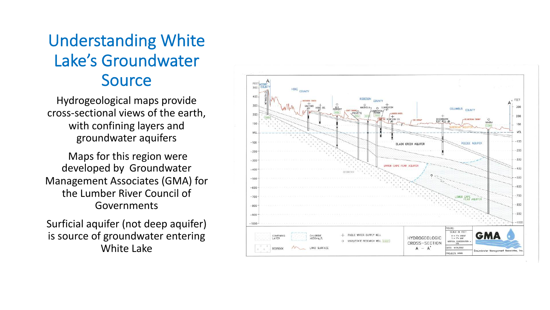#### Understanding White Lake's Groundwater Source

Hydrogeological maps provide cross-sectional views of the earth, with confining layers and groundwater aquifers

Maps for this region were developed by Groundwater Management Associates (GMA) for the Lumber River Council of Governments

Surficial aquifer (not deep aquifer) is source of groundwater entering White Lake

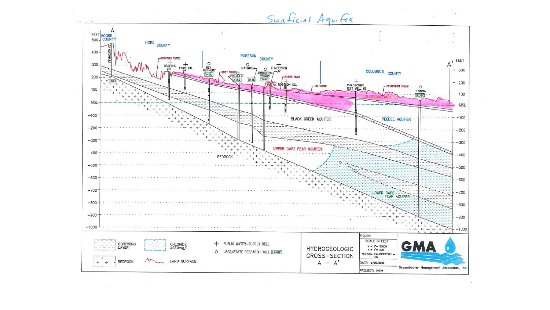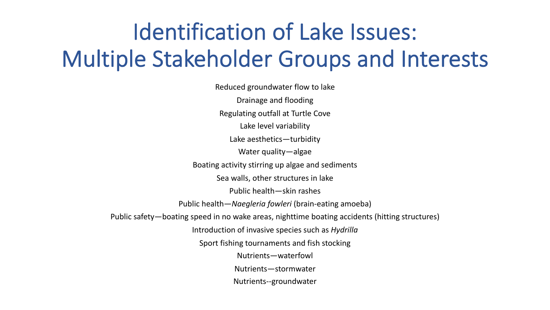# Identification of Lake Issues: Multiple Stakeholder Groups and Interests

Reduced groundwater flow to lake Drainage and flooding Regulating outfall at Turtle Cove Lake level variability Lake aesthetics—turbidity Water quality—algae Boating activity stirring up algae and sediments Sea walls, other structures in lake Public health—skin rashes Public health—*Naegleria fowleri* (brain-eating amoeba) Public safety—boating speed in no wake areas, nighttime boating accidents (hitting structures) Introduction of invasive species such as *Hydrilla* Sport fishing tournaments and fish stocking Nutrients—waterfowl Nutrients—stormwater Nutrients--groundwater